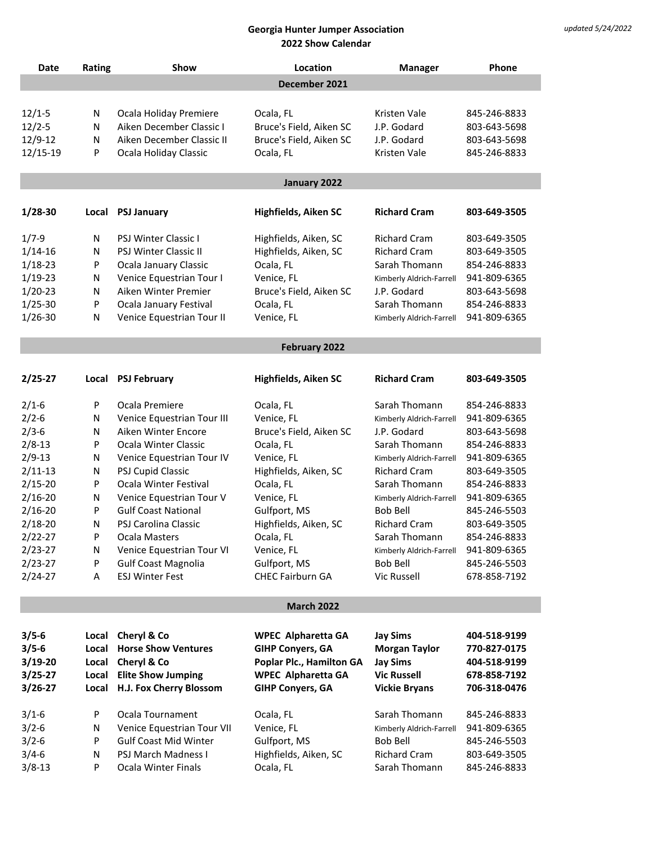| Date                       | Rating        | Show                                                   | Location                              | <b>Manager</b>                              | Phone                        |  |  |
|----------------------------|---------------|--------------------------------------------------------|---------------------------------------|---------------------------------------------|------------------------------|--|--|
|                            | December 2021 |                                                        |                                       |                                             |                              |  |  |
|                            |               |                                                        |                                       |                                             |                              |  |  |
| $12/1 - 5$                 | N             | Ocala Holiday Premiere                                 | Ocala, FL                             | Kristen Vale                                | 845-246-8833                 |  |  |
| $12/2 - 5$                 | N             | Aiken December Classic I                               | Bruce's Field, Aiken SC               | J.P. Godard                                 | 803-643-5698                 |  |  |
| 12/9-12                    | N             | Aiken December Classic II                              | Bruce's Field, Aiken SC               | J.P. Godard                                 | 803-643-5698                 |  |  |
| 12/15-19                   | P             | Ocala Holiday Classic                                  | Ocala, FL                             | Kristen Vale                                | 845-246-8833                 |  |  |
|                            | January 2022  |                                                        |                                       |                                             |                              |  |  |
| 1/28-30                    |               |                                                        | <b>Highfields, Aiken SC</b>           | <b>Richard Cram</b>                         | 803-649-3505                 |  |  |
|                            | Local         | <b>PSJ January</b>                                     |                                       |                                             |                              |  |  |
| $1/7 - 9$                  | N             | PSJ Winter Classic I                                   | Highfields, Aiken, SC                 | <b>Richard Cram</b>                         | 803-649-3505                 |  |  |
| $1/14 - 16$                | N             | PSJ Winter Classic II                                  | Highfields, Aiken, SC                 | <b>Richard Cram</b>                         | 803-649-3505                 |  |  |
| $1/18 - 23$                | P             | Ocala January Classic                                  | Ocala, FL                             | Sarah Thomann                               | 854-246-8833                 |  |  |
| $1/19-23$                  | N             | Venice Equestrian Tour I                               | Venice, FL                            | Kimberly Aldrich-Farrell                    | 941-809-6365                 |  |  |
| $1/20-23$                  | N             | Aiken Winter Premier                                   | Bruce's Field, Aiken SC               | J.P. Godard                                 | 803-643-5698                 |  |  |
| $1/25 - 30$                | P             | Ocala January Festival                                 | Ocala, FL                             | Sarah Thomann                               | 854-246-8833                 |  |  |
| $1/26 - 30$                | N             | Venice Equestrian Tour II                              | Venice, FL                            | Kimberly Aldrich-Farrell                    | 941-809-6365                 |  |  |
|                            |               |                                                        | February 2022                         |                                             |                              |  |  |
|                            |               |                                                        |                                       |                                             |                              |  |  |
| $2/25 - 27$                |               | Local PSJ February                                     | Highfields, Aiken SC                  | <b>Richard Cram</b>                         | 803-649-3505                 |  |  |
| $2/1-6$                    | P             | Ocala Premiere                                         | Ocala, FL                             | Sarah Thomann                               | 854-246-8833                 |  |  |
| $2/2 - 6$                  | N             | Venice Equestrian Tour III                             | Venice, FL                            | Kimberly Aldrich-Farrell                    | 941-809-6365                 |  |  |
| $2/3-6$                    | N             | Aiken Winter Encore                                    | Bruce's Field, Aiken SC               | J.P. Godard                                 | 803-643-5698                 |  |  |
| $2/8 - 13$                 | P             | Ocala Winter Classic                                   | Ocala, FL                             | Sarah Thomann                               | 854-246-8833                 |  |  |
| $2/9 - 13$                 | N             | Venice Equestrian Tour IV                              | Venice, FL                            | Kimberly Aldrich-Farrell                    | 941-809-6365                 |  |  |
| $2/11-13$                  | N             | PSJ Cupid Classic                                      | Highfields, Aiken, SC                 | <b>Richard Cram</b>                         | 803-649-3505                 |  |  |
| $2/15 - 20$                | P             | Ocala Winter Festival                                  | Ocala, FL                             | Sarah Thomann                               | 854-246-8833                 |  |  |
| $2/16 - 20$<br>$2/16 - 20$ | N<br>P        | Venice Equestrian Tour V<br><b>Gulf Coast National</b> | Venice, FL                            | Kimberly Aldrich-Farrell<br><b>Bob Bell</b> | 941-809-6365                 |  |  |
| $2/18 - 20$                | N             | PSJ Carolina Classic                                   | Gulfport, MS<br>Highfields, Aiken, SC | <b>Richard Cram</b>                         | 845-246-5503<br>803-649-3505 |  |  |
| $2/22 - 27$                | P             | Ocala Masters                                          | Ocala, FL                             | Sarah Thomann                               | 854-246-8833                 |  |  |
| $2/23 - 27$                | N             | Venice Equestrian Tour VI                              | Venice, FL                            | Kimberly Aldrich-Farrell                    | 941-809-6365                 |  |  |
| $2/23 - 27$                | P             | <b>Gulf Coast Magnolia</b>                             | Gulfport, MS                          | <b>Bob Bell</b>                             | 845-246-5503                 |  |  |
| $2/24 - 27$                | Α             | <b>ESJ Winter Fest</b>                                 | <b>CHEC Fairburn GA</b>               | Vic Russell                                 | 678-858-7192                 |  |  |
|                            |               |                                                        |                                       |                                             |                              |  |  |
| <b>March 2022</b>          |               |                                                        |                                       |                                             |                              |  |  |
| $3/5 - 6$                  | Local         | Cheryl & Co                                            | <b>WPEC Alpharetta GA</b>             | <b>Jay Sims</b>                             | 404-518-9199                 |  |  |
| $3/5 - 6$                  | Local         | <b>Horse Show Ventures</b>                             | <b>GIHP Conyers, GA</b>               | <b>Morgan Taylor</b>                        | 770-827-0175                 |  |  |
| 3/19-20                    | Local         | Cheryl & Co                                            | Poplar Plc., Hamilton GA              | <b>Jay Sims</b>                             | 404-518-9199                 |  |  |
| 3/25-27                    | Local         | <b>Elite Show Jumping</b>                              | <b>WPEC Alpharetta GA</b>             | <b>Vic Russell</b>                          | 678-858-7192                 |  |  |
| $3/26 - 27$                | Local         | H.J. Fox Cherry Blossom                                | <b>GIHP Conyers, GA</b>               | <b>Vickie Bryans</b>                        | 706-318-0476                 |  |  |
| $3/1-6$                    | P             | Ocala Tournament                                       | Ocala, FL                             | Sarah Thomann                               | 845-246-8833                 |  |  |
| $3/2 - 6$                  | N             | Venice Equestrian Tour VII                             | Venice, FL                            | Kimberly Aldrich-Farrell                    | 941-809-6365                 |  |  |
| $3/2 - 6$                  | P             | <b>Gulf Coast Mid Winter</b>                           | Gulfport, MS                          | <b>Bob Bell</b>                             | 845-246-5503                 |  |  |
| $3/4-6$                    | N             | PSJ March Madness I                                    | Highfields, Aiken, SC                 | <b>Richard Cram</b>                         | 803-649-3505                 |  |  |
| $3/8 - 13$                 | P             | <b>Ocala Winter Finals</b>                             | Ocala, FL                             | Sarah Thomann                               | 845-246-8833                 |  |  |
|                            |               |                                                        |                                       |                                             |                              |  |  |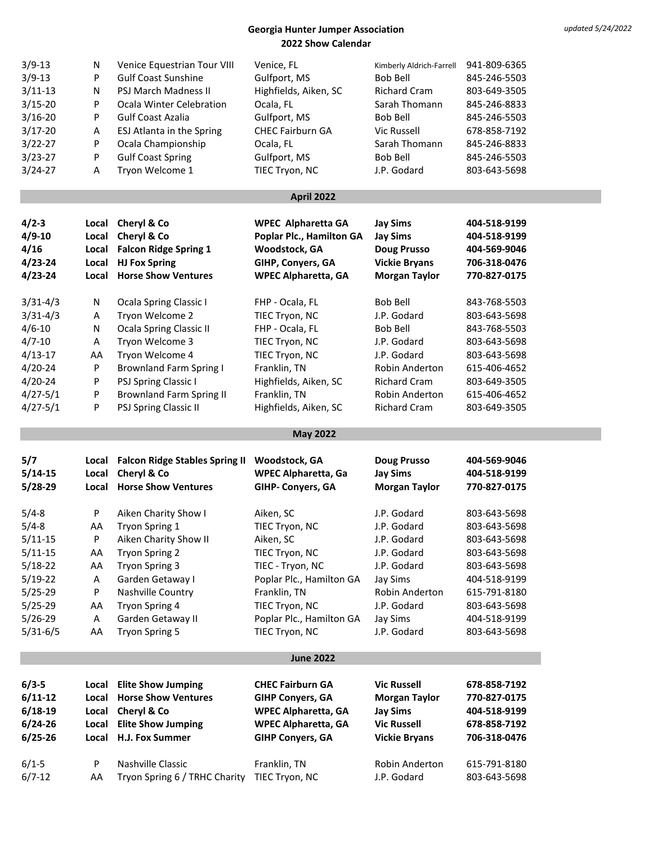| $3/9 - 13$             | N     | Venice Equestrian Tour VIII                  | Venice, FL                  | Kimberly Aldrich-Farrell   | 941-809-6365                 |
|------------------------|-------|----------------------------------------------|-----------------------------|----------------------------|------------------------------|
| $3/9 - 13$             | P     | <b>Gulf Coast Sunshine</b>                   | Gulfport, MS                | <b>Bob Bell</b>            | 845-246-5503                 |
| $3/11-13$              | Ν     | PSJ March Madness II                         | Highfields, Aiken, SC       | <b>Richard Cram</b>        | 803-649-3505                 |
| $3/15 - 20$            | P     | Ocala Winter Celebration                     | Ocala, FL                   | Sarah Thomann              | 845-246-8833                 |
| $3/16 - 20$            | P     | <b>Gulf Coast Azalia</b>                     | Gulfport, MS                | <b>Bob Bell</b>            | 845-246-5503                 |
| $3/17 - 20$            | Α     | ESJ Atlanta in the Spring                    | <b>CHEC Fairburn GA</b>     | Vic Russell                | 678-858-7192                 |
| $3/22 - 27$            | P     | Ocala Championship                           | Ocala, FL                   | Sarah Thomann              | 845-246-8833                 |
| $3/23 - 27$            | P     | <b>Gulf Coast Spring</b>                     | Gulfport, MS                | <b>Bob Bell</b>            | 845-246-5503                 |
| 3/24-27                | Α     | Tryon Welcome 1                              | TIEC Tryon, NC              | J.P. Godard                | 803-643-5698                 |
|                        |       |                                              | <b>April 2022</b>           |                            |                              |
|                        |       |                                              |                             |                            |                              |
| $4/2 - 3$              | Local | Cheryl & Co                                  | <b>WPEC Alpharetta GA</b>   | <b>Jay Sims</b>            | 404-518-9199                 |
| $4/9 - 10$             | Local | Cheryl & Co                                  | Poplar Plc., Hamilton GA    | <b>Jay Sims</b>            | 404-518-9199                 |
| 4/16                   | Local | <b>Falcon Ridge Spring 1</b>                 | Woodstock, GA               | <b>Doug Prusso</b>         | 404-569-9046                 |
| $4/23 - 24$            | Local | <b>HJ Fox Spring</b>                         | GIHP, Conyers, GA           | <b>Vickie Bryans</b>       | 706-318-0476                 |
| $4/23 - 24$            | Local | <b>Horse Show Ventures</b>                   | <b>WPEC Alpharetta, GA</b>  | <b>Morgan Taylor</b>       | 770-827-0175                 |
| $3/31 - 4/3$           | N     | Ocala Spring Classic I                       | FHP - Ocala, FL             | <b>Bob Bell</b>            | 843-768-5503                 |
| $3/31 - 4/3$           | A     | Tryon Welcome 2                              | TIEC Tryon, NC              | J.P. Godard                | 803-643-5698                 |
| $4/6 - 10$             | N     | <b>Ocala Spring Classic II</b>               | FHP - Ocala, FL             | Bob Bell                   | 843-768-5503                 |
| $4/7 - 10$             | Α     | Tryon Welcome 3                              | TIEC Tryon, NC              | J.P. Godard                | 803-643-5698                 |
| $4/13 - 17$            | AA    | Tryon Welcome 4                              | TIEC Tryon, NC              | J.P. Godard                | 803-643-5698                 |
| $4/20 - 24$            | P     | <b>Brownland Farm Spring I</b>               | Franklin, TN                | Robin Anderton             | 615-406-4652                 |
| $4/20 - 24$            | P     | PSJ Spring Classic I                         | Highfields, Aiken, SC       | <b>Richard Cram</b>        | 803-649-3505                 |
| $4/27 - 5/1$           | P     | <b>Brownland Farm Spring II</b>              | Franklin, TN                | Robin Anderton             | 615-406-4652                 |
| $4/27 - 5/1$           | P     | PSJ Spring Classic II                        | Highfields, Aiken, SC       | <b>Richard Cram</b>        | 803-649-3505                 |
|                        |       |                                              | <b>May 2022</b>             |                            |                              |
| 5/7                    | Local | <b>Falcon Ridge Stables Spring II</b>        | Woodstock, GA               | <b>Doug Prusso</b>         | 404-569-9046                 |
| $5/14-15$              | Local | Cheryl & Co                                  | <b>WPEC Alpharetta, Ga</b>  | <b>Jay Sims</b>            | 404-518-9199                 |
| $5/28-29$              | Local | <b>Horse Show Ventures</b>                   | GIHP- Conyers, GA           | <b>Morgan Taylor</b>       | 770-827-0175                 |
| $5/4 - 8$              | P     | Aiken Charity Show I                         | Aiken, SC                   | J.P. Godard                | 803-643-5698                 |
| $5/4 - 8$              | AA    | Tryon Spring 1                               | TIEC Tryon, NC              | J.P. Godard                | 803-643-5698                 |
|                        | P     | Aiken Charity Show II                        |                             |                            |                              |
| $5/11-15$<br>$5/11-15$ | AA    | <b>Tryon Spring 2</b>                        | Aiken, SC<br>TIEC Tryon, NC | J.P. Godard<br>J.P. Godard | 803-643-5698<br>803-643-5698 |
| $5/18 - 22$            | AA    | Tryon Spring 3                               | TIEC - Tryon, NC            | J.P. Godard                | 803-643-5698                 |
| $5/19-22$              | A     | Garden Getaway I                             | Poplar Plc., Hamilton GA    | Jay Sims                   | 404-518-9199                 |
| $5/25 - 29$            | P     | Nashville Country                            | Franklin, TN                | Robin Anderton             | 615-791-8180                 |
| $5/25 - 29$            |       | Tryon Spring 4                               | TIEC Tryon, NC              | J.P. Godard                | 803-643-5698                 |
| $5/26 - 29$            | AA    | Garden Getaway II                            | Poplar Plc., Hamilton GA    |                            | 404-518-9199                 |
| $5/31-6/5$             | Α     |                                              |                             | Jay Sims<br>J.P. Godard    | 803-643-5698                 |
|                        | AA    | <b>Tryon Spring 5</b>                        | TIEC Tryon, NC              |                            |                              |
|                        |       |                                              | <b>June 2022</b>            |                            |                              |
| $6/3 - 5$              | Local | <b>Elite Show Jumping</b>                    | <b>CHEC Fairburn GA</b>     | <b>Vic Russell</b>         | 678-858-7192                 |
| $6/11-12$              | Local | <b>Horse Show Ventures</b>                   | <b>GIHP Conyers, GA</b>     | <b>Morgan Taylor</b>       | 770-827-0175                 |
| $6/18-19$              | Local | Cheryl & Co                                  | <b>WPEC Alpharetta, GA</b>  | <b>Jay Sims</b>            | 404-518-9199                 |
| $6/24 - 26$            | Local | <b>Elite Show Jumping</b>                    | <b>WPEC Alpharetta, GA</b>  | <b>Vic Russell</b>         | 678-858-7192                 |
| $6/25 - 26$            | Local | H.J. Fox Summer                              | <b>GIHP Conyers, GA</b>     | <b>Vickie Bryans</b>       | 706-318-0476                 |
| $6/1-5$                | P     | Nashville Classic                            | Franklin, TN                | Robin Anderton             | 615-791-8180                 |
| $6/7 - 12$             | AA    | Tryon Spring 6 / TRHC Charity TIEC Tryon, NC |                             | J.P. Godard                | 803-643-5698                 |
|                        |       |                                              |                             |                            |                              |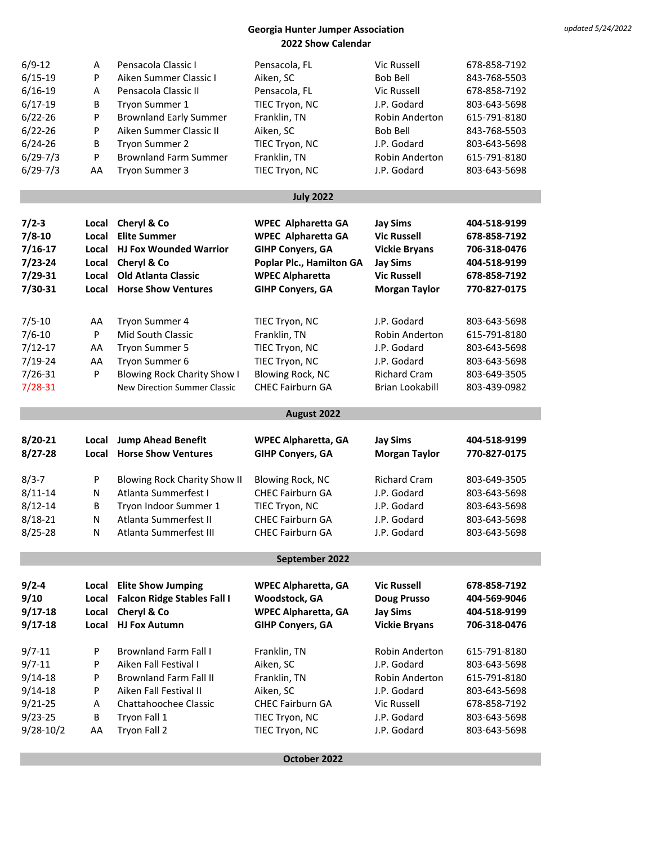| $6/9-12$                 | A       | Pensacola Classic I                 | Pensacola, FL                    | Vic Russell                | 678-858-7192                 |
|--------------------------|---------|-------------------------------------|----------------------------------|----------------------------|------------------------------|
| $6/15 - 19$              | P       | Aiken Summer Classic I              | Aiken, SC                        | <b>Bob Bell</b>            | 843-768-5503                 |
| $6/16 - 19$              | Α       | Pensacola Classic II                | Pensacola, FL                    | <b>Vic Russell</b>         | 678-858-7192                 |
| $6/17 - 19$              | B       | Tryon Summer 1                      | TIEC Tryon, NC                   | J.P. Godard                | 803-643-5698                 |
| $6/22 - 26$              | P       | <b>Brownland Early Summer</b>       | Franklin, TN                     | Robin Anderton             | 615-791-8180                 |
|                          |         | Aiken Summer Classic II             |                                  |                            |                              |
| $6/22 - 26$              | P       |                                     | Aiken, SC                        | <b>Bob Bell</b>            | 843-768-5503                 |
| $6/24 - 26$              | В       | Tryon Summer 2                      | TIEC Tryon, NC                   | J.P. Godard                | 803-643-5698                 |
| $6/29 - 7/3$             | P       | <b>Brownland Farm Summer</b>        | Franklin, TN                     | <b>Robin Anderton</b>      | 615-791-8180                 |
| $6/29 - 7/3$             | AA      | Tryon Summer 3                      | TIEC Tryon, NC                   | J.P. Godard                | 803-643-5698                 |
|                          |         |                                     |                                  |                            |                              |
|                          |         |                                     | <b>July 2022</b>                 |                            |                              |
|                          | Local   |                                     |                                  |                            |                              |
| $7/2 - 3$                |         | Cheryl & Co                         | <b>WPEC Alpharetta GA</b>        | <b>Jay Sims</b>            | 404-518-9199                 |
| $7/8 - 10$               | Local   | <b>Elite Summer</b>                 | <b>WPEC Alpharetta GA</b>        | <b>Vic Russell</b>         | 678-858-7192                 |
| $7/16 - 17$              | Local   | <b>HJ Fox Wounded Warrior</b>       | <b>GIHP Conyers, GA</b>          | <b>Vickie Bryans</b>       | 706-318-0476                 |
| $7/23 - 24$              | Local   | Cheryl & Co                         | Poplar Plc., Hamilton GA         | <b>Jay Sims</b>            | 404-518-9199                 |
| $7/29 - 31$              | Local   | <b>Old Atlanta Classic</b>          | <b>WPEC Alpharetta</b>           | <b>Vic Russell</b>         | 678-858-7192                 |
| $7/30 - 31$              | Local   | <b>Horse Show Ventures</b>          | <b>GIHP Conyers, GA</b>          | <b>Morgan Taylor</b>       | 770-827-0175                 |
|                          |         |                                     |                                  |                            |                              |
| $7/5 - 10$               | AA      | Tryon Summer 4                      | TIEC Tryon, NC                   | J.P. Godard                | 803-643-5698                 |
| $7/6 - 10$               | P       | Mid South Classic                   | Franklin, TN                     | <b>Robin Anderton</b>      | 615-791-8180                 |
| $7/12 - 17$              | AA      | Tryon Summer 5                      | TIEC Tryon, NC                   | J.P. Godard                | 803-643-5698                 |
| $7/19 - 24$              | AA      | Tryon Summer 6                      | TIEC Tryon, NC                   | J.P. Godard                | 803-643-5698                 |
| $7/26 - 31$              | P       | <b>Blowing Rock Charity Show I</b>  | Blowing Rock, NC                 | <b>Richard Cram</b>        | 803-649-3505                 |
| $7/28 - 31$              |         |                                     |                                  |                            |                              |
|                          |         | <b>New Direction Summer Classic</b> | <b>CHEC Fairburn GA</b>          | <b>Brian Lookabill</b>     | 803-439-0982                 |
|                          |         |                                     |                                  |                            |                              |
|                          |         |                                     | August 2022                      |                            |                              |
|                          |         |                                     |                                  |                            |                              |
| $8/20 - 21$              | Local   | <b>Jump Ahead Benefit</b>           | <b>WPEC Alpharetta, GA</b>       | <b>Jay Sims</b>            | 404-518-9199                 |
| $8/27 - 28$              | Local   | <b>Horse Show Ventures</b>          | <b>GIHP Conyers, GA</b>          | <b>Morgan Taylor</b>       | 770-827-0175                 |
|                          |         |                                     |                                  |                            |                              |
| $8/3 - 7$                | P       | <b>Blowing Rock Charity Show II</b> | <b>Blowing Rock, NC</b>          | <b>Richard Cram</b>        | 803-649-3505                 |
| $8/11 - 14$              | N       | Atlanta Summerfest I                | <b>CHEC Fairburn GA</b>          | J.P. Godard                | 803-643-5698                 |
| $8/12 - 14$              | B       | Tryon Indoor Summer 1               | TIEC Tryon, NC                   | J.P. Godard                | 803-643-5698                 |
| $8/18 - 21$              | Ν       | Atlanta Summerfest II               | <b>CHEC Fairburn GA</b>          | J.P. Godard                | 803-643-5698                 |
| $8/25 - 28$              | N       | Atlanta Summerfest III              | <b>CHEC Fairburn GA</b>          | J.P. Godard                | 803-643-5698                 |
|                          |         |                                     |                                  |                            |                              |
|                          |         |                                     | September 2022                   |                            |                              |
|                          | Local   | <b>Elite Show Jumping</b>           | <b>WPEC Alpharetta, GA</b>       | <b>Vic Russell</b>         | 678-858-7192                 |
| $9/2 - 4$                |         |                                     |                                  |                            |                              |
| 9/10                     | Local   | <b>Falcon Ridge Stables Fall I</b>  | Woodstock, GA                    | <b>Doug Prusso</b>         | 404-569-9046                 |
| $9/17 - 18$              | Local   | Cheryl & Co                         | <b>WPEC Alpharetta, GA</b>       | <b>Jay Sims</b>            | 404-518-9199                 |
| $9/17 - 18$              | Local   | <b>HJ Fox Autumn</b>                | <b>GIHP Conyers, GA</b>          | <b>Vickie Bryans</b>       | 706-318-0476                 |
| $9/7 - 11$               | P       | <b>Brownland Farm Fall I</b>        | Franklin, TN                     | Robin Anderton             | 615-791-8180                 |
| $9/7 - 11$               | P       | Aiken Fall Festival I               | Aiken, SC                        | J.P. Godard                | 803-643-5698                 |
|                          | P       | <b>Brownland Farm Fall II</b>       |                                  | Robin Anderton             |                              |
| $9/14 - 18$              |         | Aiken Fall Festival II              | Franklin, TN                     |                            | 615-791-8180                 |
| $9/14 - 18$              | P       |                                     | Aiken, SC                        | J.P. Godard                | 803-643-5698                 |
| $9/21 - 25$              | Α       | Chattahoochee Classic               | <b>CHEC Fairburn GA</b>          | Vic Russell                | 678-858-7192                 |
| $9/23 - 25$<br>9/28-10/2 | В<br>AA | Tryon Fall 1<br>Tryon Fall 2        | TIEC Tryon, NC<br>TIEC Tryon, NC | J.P. Godard<br>J.P. Godard | 803-643-5698<br>803-643-5698 |

**October 2022**